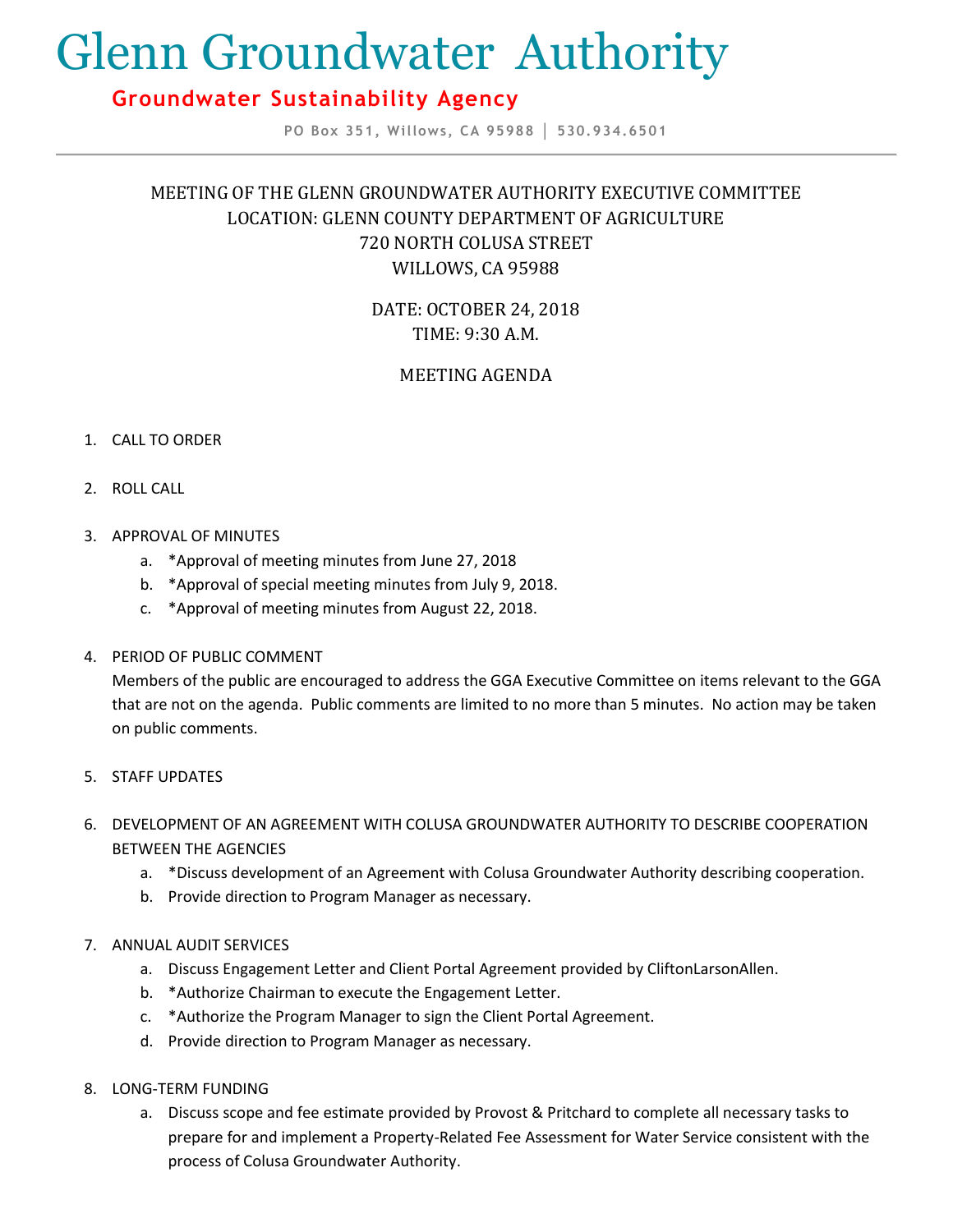# Glenn Groundwater Authority

## **Groundwater Sustainability Agency**

**PO Box 351, Willows, CA 95988 │ 530.934.6501**

## MEETING OF THE GLENN GROUNDWATER AUTHORITY EXECUTIVE COMMITTEE LOCATION: GLENN COUNTY DEPARTMENT OF AGRICULTURE 720 NORTH COLUSA STREET WILLOWS, CA 95988

DATE: OCTOBER 24, 2018 TIME: 9:30 A.M.

### MEETING AGENDA

#### 1. CALL TO ORDER

- 2. ROLL CALL
- 3. APPROVAL OF MINUTES
	- a. \*Approval of meeting minutes from June 27, 2018
	- b. \*Approval of special meeting minutes from July 9, 2018.
	- c. \*Approval of meeting minutes from August 22, 2018.
- 4. PERIOD OF PUBLIC COMMENT

Members of the public are encouraged to address the GGA Executive Committee on items relevant to the GGA that are not on the agenda. Public comments are limited to no more than 5 minutes. No action may be taken on public comments.

- 5. STAFF UPDATES
- 6. DEVELOPMENT OF AN AGREEMENT WITH COLUSA GROUNDWATER AUTHORITY TO DESCRIBE COOPERATION BETWEEN THE AGENCIES
	- a. \*Discuss development of an Agreement with Colusa Groundwater Authority describing cooperation.
	- b. Provide direction to Program Manager as necessary.
- 7. ANNUAL AUDIT SERVICES
	- a. Discuss Engagement Letter and Client Portal Agreement provided by CliftonLarsonAllen.
	- b. \*Authorize Chairman to execute the Engagement Letter.
	- c. \*Authorize the Program Manager to sign the Client Portal Agreement.
	- d. Provide direction to Program Manager as necessary.
- 8. LONG-TERM FUNDING
	- a. Discuss scope and fee estimate provided by Provost & Pritchard to complete all necessary tasks to prepare for and implement a Property-Related Fee Assessment for Water Service consistent with the process of Colusa Groundwater Authority.